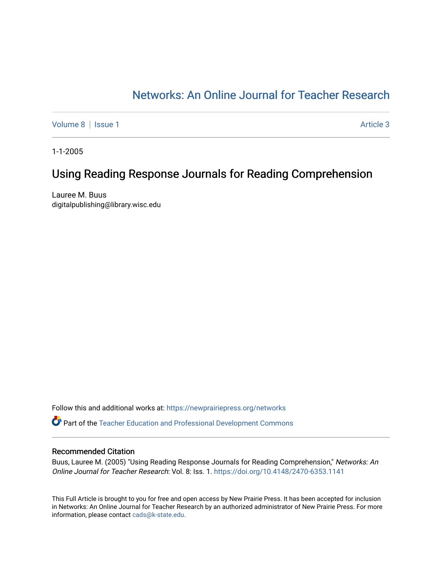# [Networks: An Online Journal for Teacher Research](https://newprairiepress.org/networks)

[Volume 8](https://newprairiepress.org/networks/vol8) | [Issue 1](https://newprairiepress.org/networks/vol8/iss1) Article 3

1-1-2005

## Using Reading Response Journals for Reading Comprehension

Lauree M. Buus digitalpublishing@library.wisc.edu

Follow this and additional works at: [https://newprairiepress.org/networks](https://newprairiepress.org/networks?utm_source=newprairiepress.org%2Fnetworks%2Fvol8%2Fiss1%2F3&utm_medium=PDF&utm_campaign=PDFCoverPages)

Part of the [Teacher Education and Professional Development Commons](http://network.bepress.com/hgg/discipline/803?utm_source=newprairiepress.org%2Fnetworks%2Fvol8%2Fiss1%2F3&utm_medium=PDF&utm_campaign=PDFCoverPages) 

#### Recommended Citation

Buus, Lauree M. (2005) "Using Reading Response Journals for Reading Comprehension," Networks: An Online Journal for Teacher Research: Vol. 8: Iss. 1. <https://doi.org/10.4148/2470-6353.1141>

This Full Article is brought to you for free and open access by New Prairie Press. It has been accepted for inclusion in Networks: An Online Journal for Teacher Research by an authorized administrator of New Prairie Press. For more information, please contact [cads@k-state.edu](mailto:cads@k-state.edu).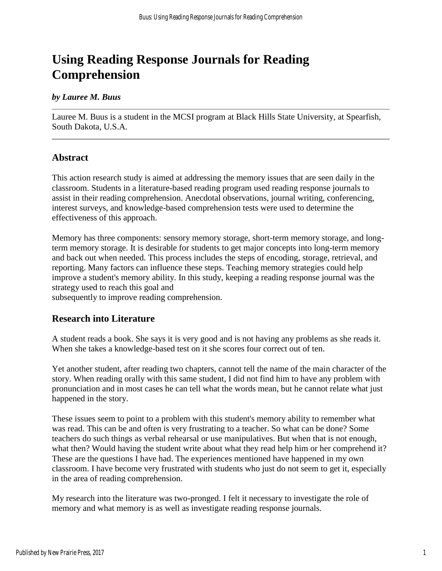# **Using Reading Response Journals for Reading Comprehension**

#### *by Lauree M. Buus*

Lauree M. Buus is a student in the MCSI program at Black Hills State University, at Spearfish, South Dakota, U.S.A.

#### **Abstract**

This action research study is aimed at addressing the memory issues that are seen daily in the classroom. Students in a literature-based reading program used reading response journals to assist in their reading comprehension. Anecdotal observations, journal writing, conferencing, interest surveys, and knowledge-based comprehension tests were used to determine the effectiveness of this approach.

Memory has three components: sensory memory storage, short-term memory storage, and longterm memory storage. It is desirable for students to get major concepts into long-term memory and back out when needed. This process includes the steps of encoding, storage, retrieval, and reporting. Many factors can influence these steps. Teaching memory strategies could help improve a student's memory ability. In this study, keeping a reading response journal was the strategy used to reach this goal and

subsequently to improve reading comprehension.

#### **Research into Literature**

A student reads a book. She says it is very good and is not having any problems as she reads it. When she takes a knowledge-based test on it she scores four correct out of ten.

Yet another student, after reading two chapters, cannot tell the name of the main character of the story. When reading orally with this same student, I did not find him to have any problem with pronunciation and in most cases he can tell what the words mean, but he cannot relate what just happened in the story.

These issues seem to point to a problem with this student's memory ability to remember what was read. This can be and often is very frustrating to a teacher. So what can be done? Some teachers do such things as verbal rehearsal or use manipulatives. But when that is not enough, what then? Would having the student write about what they read help him or her comprehend it? These are the questions I have had. The experiences mentioned have happened in my own classroom. I have become very frustrated with students who just do not seem to get it, especially in the area of reading comprehension.

My research into the literature was two-pronged. I felt it necessary to investigate the role of memory and what memory is as well as investigate reading response journals.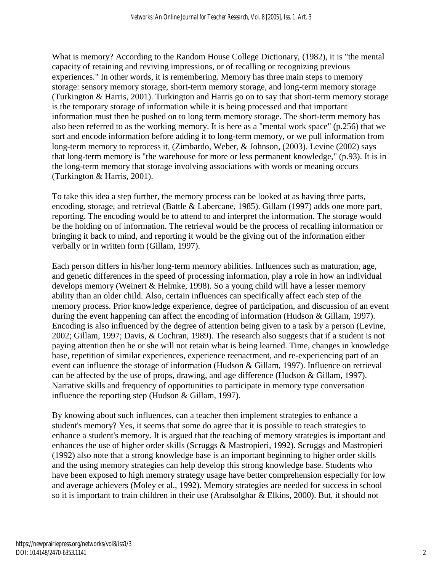What is memory? According to the Random House College Dictionary, (1982), it is "the mental capacity of retaining and reviving impressions, or of recalling or recognizing previous experiences." In other words, it is remembering. Memory has three main steps to memory storage: sensory memory storage, short-term memory storage, and long-term memory storage (Turkington & Harris, 2001). Turkington and Harris go on to say that short-term memory storage is the temporary storage of information while it is being processed and that important information must then be pushed on to long term memory storage. The short-term memory has also been referred to as the working memory. It is here as a "mental work space" (p.256) that we sort and encode information before adding it to long-term memory, or we pull information from long-term memory to reprocess it, (Zimbardo, Weber, & Johnson, (2003). Levine (2002) says that long-term memory is "the warehouse for more or less permanent knowledge," (p.93). It is in the long-term memory that storage involving associations with words or meaning occurs (Turkington & Harris, 2001).

To take this idea a step further, the memory process can be looked at as having three parts, encoding, storage, and retrieval (Battle & Labercane, 1985). Gillam (1997) adds one more part, reporting. The encoding would be to attend to and interpret the information. The storage would be the holding on of information. The retrieval would be the process of recalling information or bringing it back to mind, and reporting it would be the giving out of the information either verbally or in written form (Gillam, 1997).

Each person differs in his/her long-term memory abilities. Influences such as maturation, age, and genetic differences in the speed of processing information, play a role in how an individual develops memory (Weinert & Helmke, 1998). So a young child will have a lesser memory ability than an older child. Also, certain influences can specifically affect each step of the memory process. Prior knowledge experience, degree of participation, and discussion of an event during the event happening can affect the encoding of information (Hudson & Gillam, 1997). Encoding is also influenced by the degree of attention being given to a task by a person (Levine, 2002; Gillam, 1997; Davis, & Cochran, 1989). The research also suggests that if a student is not paying attention then he or she will not retain what is being learned. Time, changes in knowledge base, repetition of similar experiences, experience reenactment, and re-experiencing part of an event can influence the storage of information (Hudson & Gillam, 1997). Influence on retrieval can be affected by the use of props, drawing, and age difference (Hudson & Gillam, 1997). Narrative skills and frequency of opportunities to participate in memory type conversation influence the reporting step (Hudson & Gillam, 1997).

By knowing about such influences, can a teacher then implement strategies to enhance a student's memory? Yes, it seems that some do agree that it is possible to teach strategies to enhance a student's memory. It is argued that the teaching of memory strategies is important and enhances the use of higher order skills (Scruggs & Mastropieri, 1992). Scruggs and Mastropieri (1992) also note that a strong knowledge base is an important beginning to higher order skills and the using memory strategies can help develop this strong knowledge base. Students who have been exposed to high memory strategy usage have better comprehension especially for low and average achievers (Moley et al., 1992). Memory strategies are needed for success in school so it is important to train children in their use (Arabsolghar & Elkins, 2000). But, it should not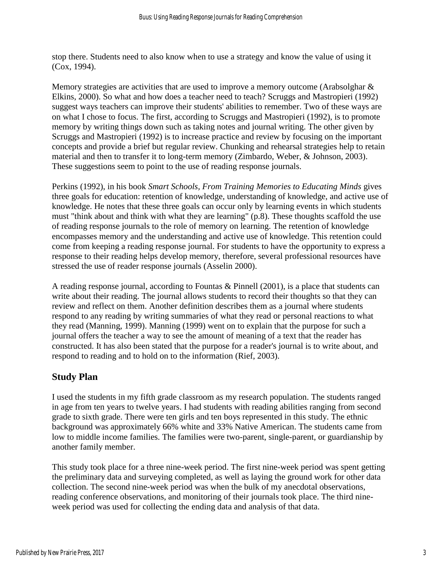stop there. Students need to also know when to use a strategy and know the value of using it (Cox, 1994).

Memory strategies are activities that are used to improve a memory outcome (Arabsolghar & Elkins, 2000). So what and how does a teacher need to teach? Scruggs and Mastropieri (1992) suggest ways teachers can improve their students' abilities to remember. Two of these ways are on what I chose to focus. The first, according to Scruggs and Mastropieri (1992), is to promote memory by writing things down such as taking notes and journal writing. The other given by Scruggs and Mastropieri (1992) is to increase practice and review by focusing on the important concepts and provide a brief but regular review. Chunking and rehearsal strategies help to retain material and then to transfer it to long-term memory (Zimbardo, Weber, & Johnson, 2003). These suggestions seem to point to the use of reading response journals.

Perkins (1992), in his book *Smart Schools, From Training Memories to Educating Minds* gives three goals for education: retention of knowledge, understanding of knowledge, and active use of knowledge. He notes that these three goals can occur only by learning events in which students must "think about and think with what they are learning" (p.8). These thoughts scaffold the use of reading response journals to the role of memory on learning. The retention of knowledge encompasses memory and the understanding and active use of knowledge. This retention could come from keeping a reading response journal. For students to have the opportunity to express a response to their reading helps develop memory, therefore, several professional resources have stressed the use of reader response journals (Asselin 2000).

A reading response journal, according to Fountas & Pinnell (2001), is a place that students can write about their reading. The journal allows students to record their thoughts so that they can review and reflect on them. Another definition describes them as a journal where students respond to any reading by writing summaries of what they read or personal reactions to what they read (Manning, 1999). Manning (1999) went on to explain that the purpose for such a journal offers the teacher a way to see the amount of meaning of a text that the reader has constructed. It has also been stated that the purpose for a reader's journal is to write about, and respond to reading and to hold on to the information (Rief, 2003).

## **Study Plan**

I used the students in my fifth grade classroom as my research population. The students ranged in age from ten years to twelve years. I had students with reading abilities ranging from second grade to sixth grade. There were ten girls and ten boys represented in this study. The ethnic background was approximately 66% white and 33% Native American. The students came from low to middle income families. The families were two-parent, single-parent, or guardianship by another family member.

This study took place for a three nine-week period. The first nine-week period was spent getting the preliminary data and surveying completed, as well as laying the ground work for other data collection. The second nine-week period was when the bulk of my anecdotal observations, reading conference observations, and monitoring of their journals took place. The third nineweek period was used for collecting the ending data and analysis of that data.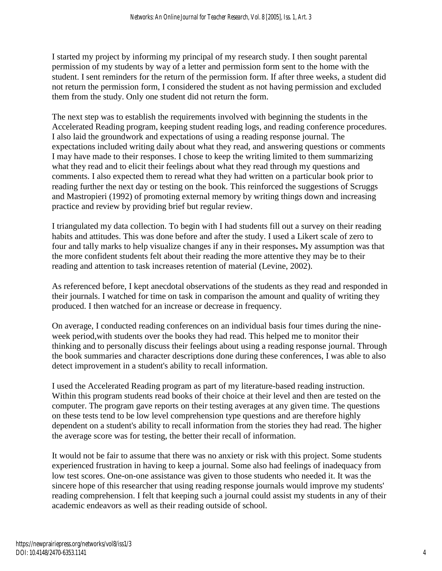I started my project by informing my principal of my research study. I then sought parental permission of my students by way of a letter and permission form sent to the home with the student. I sent reminders for the return of the permission form. If after three weeks, a student did not return the permission form, I considered the student as not having permission and excluded them from the study. Only one student did not return the form.

The next step was to establish the requirements involved with beginning the students in the Accelerated Reading program, keeping student reading logs, and reading conference procedures. I also laid the groundwork and expectations of using a reading response journal. The expectations included writing daily about what they read, and answering questions or comments I may have made to their responses. I chose to keep the writing limited to them summarizing what they read and to elicit their feelings about what they read through my questions and comments. I also expected them to reread what they had written on a particular book prior to reading further the next day or testing on the book. This reinforced the suggestions of Scruggs and Mastropieri (1992) of promoting external memory by writing things down and increasing practice and review by providing brief but regular review.

I triangulated my data collection. To begin with I had students fill out a survey on their reading habits and attitudes. This was done before and after the study. I used a Likert scale of zero to four and tally marks to help visualize changes if any in their responses**.** My assumption was that the more confident students felt about their reading the more attentive they may be to their reading and attention to task increases retention of material (Levine, 2002).

As referenced before, I kept anecdotal observations of the students as they read and responded in their journals. I watched for time on task in comparison the amount and quality of writing they produced. I then watched for an increase or decrease in frequency.

On average, I conducted reading conferences on an individual basis four times during the nineweek period,with students over the books they had read. This helped me to monitor their thinking and to personally discuss their feelings about using a reading response journal. Through the book summaries and character descriptions done during these conferences, I was able to also detect improvement in a student's ability to recall information.

I used the Accelerated Reading program as part of my literature-based reading instruction. Within this program students read books of their choice at their level and then are tested on the computer. The program gave reports on their testing averages at any given time. The questions on these tests tend to be low level comprehension type questions and are therefore highly dependent on a student's ability to recall information from the stories they had read. The higher the average score was for testing, the better their recall of information.

It would not be fair to assume that there was no anxiety or risk with this project. Some students experienced frustration in having to keep a journal. Some also had feelings of inadequacy from low test scores. One-on-one assistance was given to those students who needed it. It was the sincere hope of this researcher that using reading response journals would improve my students' reading comprehension. I felt that keeping such a journal could assist my students in any of their academic endeavors as well as their reading outside of school.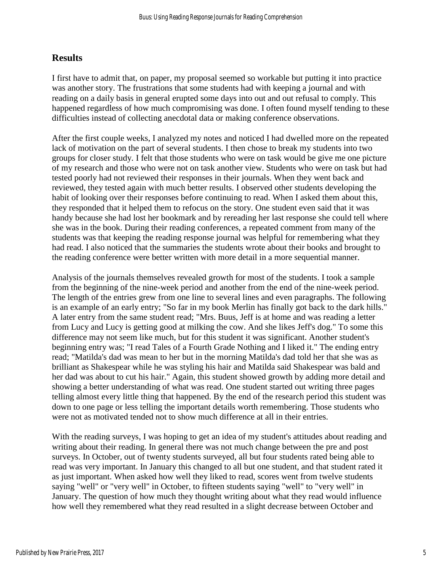#### **Results**

I first have to admit that, on paper, my proposal seemed so workable but putting it into practice was another story. The frustrations that some students had with keeping a journal and with reading on a daily basis in general erupted some days into out and out refusal to comply. This happened regardless of how much compromising was done. I often found myself tending to these difficulties instead of collecting anecdotal data or making conference observations.

After the first couple weeks, I analyzed my notes and noticed I had dwelled more on the repeated lack of motivation on the part of several students. I then chose to break my students into two groups for closer study. I felt that those students who were on task would be give me one picture of my research and those who were not on task another view. Students who were on task but had tested poorly had not reviewed their responses in their journals. When they went back and reviewed, they tested again with much better results. I observed other students developing the habit of looking over their responses before continuing to read. When I asked them about this, they responded that it helped them to refocus on the story. One student even said that it was handy because she had lost her bookmark and by rereading her last response she could tell where she was in the book. During their reading conferences, a repeated comment from many of the students was that keeping the reading response journal was helpful for remembering what they had read. I also noticed that the summaries the students wrote about their books and brought to the reading conference were better written with more detail in a more sequential manner.

Analysis of the journals themselves revealed growth for most of the students. I took a sample from the beginning of the nine-week period and another from the end of the nine-week period. The length of the entries grew from one line to several lines and even paragraphs. The following is an example of an early entry; "So far in my book Merlin has finally got back to the dark hills." A later entry from the same student read; "Mrs. Buus, Jeff is at home and was reading a letter from Lucy and Lucy is getting good at milking the cow. And she likes Jeff's dog." To some this difference may not seem like much, but for this student it was significant. Another student's beginning entry was; "I read Tales of a Fourth Grade Nothing and I liked it." The ending entry read; "Matilda's dad was mean to her but in the morning Matilda's dad told her that she was as brilliant as Shakespear while he was styling his hair and Matilda said Shakespear was bald and her dad was about to cut his hair." Again, this student showed growth by adding more detail and showing a better understanding of what was read. One student started out writing three pages telling almost every little thing that happened. By the end of the research period this student was down to one page or less telling the important details worth remembering. Those students who were not as motivated tended not to show much difference at all in their entries.

With the reading surveys, I was hoping to get an idea of my student's attitudes about reading and writing about their reading. In general there was not much change between the pre and post surveys. In October, out of twenty students surveyed, all but four students rated being able to read was very important. In January this changed to all but one student, and that student rated it as just important. When asked how well they liked to read, scores went from twelve students saying "well" or "very well" in October, to fifteen students saying "well" to "very well" in January. The question of how much they thought writing about what they read would influence how well they remembered what they read resulted in a slight decrease between October and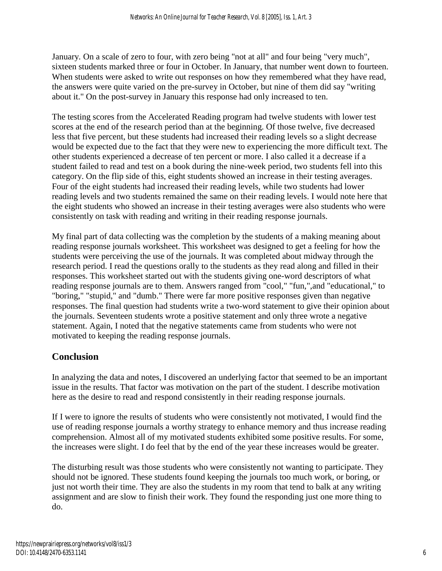January. On a scale of zero to four, with zero being "not at all" and four being "very much", sixteen students marked three or four in October. In January, that number went down to fourteen. When students were asked to write out responses on how they remembered what they have read, the answers were quite varied on the pre-survey in October, but nine of them did say "writing about it." On the post-survey in January this response had only increased to ten.

The testing scores from the Accelerated Reading program had twelve students with lower test scores at the end of the research period than at the beginning. Of those twelve, five decreased less that five percent, but these students had increased their reading levels so a slight decrease would be expected due to the fact that they were new to experiencing the more difficult text. The other students experienced a decrease of ten percent or more. I also called it a decrease if a student failed to read and test on a book during the nine-week period, two students fell into this category. On the flip side of this, eight students showed an increase in their testing averages. Four of the eight students had increased their reading levels, while two students had lower reading levels and two students remained the same on their reading levels. I would note here that the eight students who showed an increase in their testing averages were also students who were consistently on task with reading and writing in their reading response journals.

My final part of data collecting was the completion by the students of a making meaning about reading response journals worksheet. This worksheet was designed to get a feeling for how the students were perceiving the use of the journals. It was completed about midway through the research period. I read the questions orally to the students as they read along and filled in their responses. This worksheet started out with the students giving one-word descriptors of what reading response journals are to them. Answers ranged from "cool," "fun,",and "educational," to "boring," "stupid," and "dumb." There were far more positive responses given than negative responses. The final question had students write a two-word statement to give their opinion about the journals. Seventeen students wrote a positive statement and only three wrote a negative statement. Again, I noted that the negative statements came from students who were not motivated to keeping the reading response journals.

## **Conclusion**

In analyzing the data and notes, I discovered an underlying factor that seemed to be an important issue in the results. That factor was motivation on the part of the student. I describe motivation here as the desire to read and respond consistently in their reading response journals.

If I were to ignore the results of students who were consistently not motivated, I would find the use of reading response journals a worthy strategy to enhance memory and thus increase reading comprehension. Almost all of my motivated students exhibited some positive results. For some, the increases were slight. I do feel that by the end of the year these increases would be greater.

The disturbing result was those students who were consistently not wanting to participate. They should not be ignored. These students found keeping the journals too much work, or boring, or just not worth their time. They are also the students in my room that tend to balk at any writing assignment and are slow to finish their work. They found the responding just one more thing to do.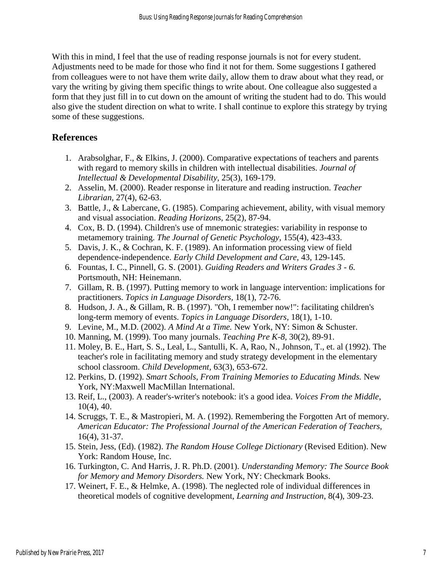With this in mind, I feel that the use of reading response journals is not for every student. Adjustments need to be made for those who find it not for them. Some suggestions I gathered from colleagues were to not have them write daily, allow them to draw about what they read, or vary the writing by giving them specific things to write about. One colleague also suggested a form that they just fill in to cut down on the amount of writing the student had to do. This would also give the student direction on what to write. I shall continue to explore this strategy by trying some of these suggestions.

#### **References**

- 1. Arabsolghar, F., & Elkins, J. (2000). Comparative expectations of teachers and parents with regard to memory skills in children with intellectual disabilities. *Journal of Intellectual & Developmental Disability,* 25(3), 169-179.
- 2. Asselin, M. (2000). Reader response in literature and reading instruction. *Teacher Librarian,* 27(4), 62-63.
- 3. Battle, J., & Labercane, G. (1985). Comparing achievement, ability, with visual memory and visual association. *Reading Horizons,* 25(2), 87-94.
- 4. Cox, B. D. (1994). Children's use of mnemonic strategies: variability in response to metamemory training. *The Journal of Genetic Psychology,* 155(4), 423-433.
- 5. Davis, J. K., & Cochran, K. F. (1989). An information processing view of field dependence-independence. *Early Child Development and Care,* 43, 129-145.
- 6. Fountas, I. C., Pinnell, G. S. (2001). *Guiding Readers and Writers Grades 3 - 6.* Portsmouth, NH: Heinemann.
- 7. Gillam, R. B. (1997). Putting memory to work in language intervention: implications for practitioners. *Topics in Language Disorders,* 18(1), 72-76.
- 8. Hudson, J. A., & Gillam, R. B. (1997). "Oh, I remember now!": facilitating children's long-term memory of events. *Topics in Language Disorders,* 18(1), 1-10.
- 9. Levine, M., M.D. (2002). *A Mind At a Time.* New York, NY: Simon & Schuster.
- 10. Manning, M. (1999). Too many journals. *Teaching Pre K-8,* 30(2), 89-91.
- 11. Moley, B. E., Hart, S. S., Leal, L., Santulli, K. A, Rao, N., Johnson, T., et. al (1992). The teacher's role in facilitating memory and study strategy development in the elementary school classroom. *Child Development,* 63(3), 653-672.
- 12. Perkins, D. (1992). *Smart Schools, From Training Memories to Educating Minds.* New York, NY:Maxwell MacMillan International.
- 13. Reif, L., (2003). A reader's-writer's notebook: it's a good idea. *Voices From the Middle*, 10(4), 40.
- 14. Scruggs, T. E., & Mastropieri, M. A. (1992). Remembering the Forgotten Art of memory. *American Educator: The Professional Journal of the American Federation of Teachers,* 16(4), 31-37.
- 15. Stein, Jess, (Ed). (1982). *The Random House College Dictionary* (Revised Edition). New York: Random House, Inc.
- 16. Turkington, C. And Harris, J. R. Ph.D. (2001). *Understanding Memory: The Source Book for Memory and Memory Disorders.* New York, NY: Checkmark Books.
- 17. Weinert, F. E., & Helmke, A. (1998). The neglected role of individual differences in theoretical models of cognitive development, *Learning and Instruction*, 8(4), 309-23.